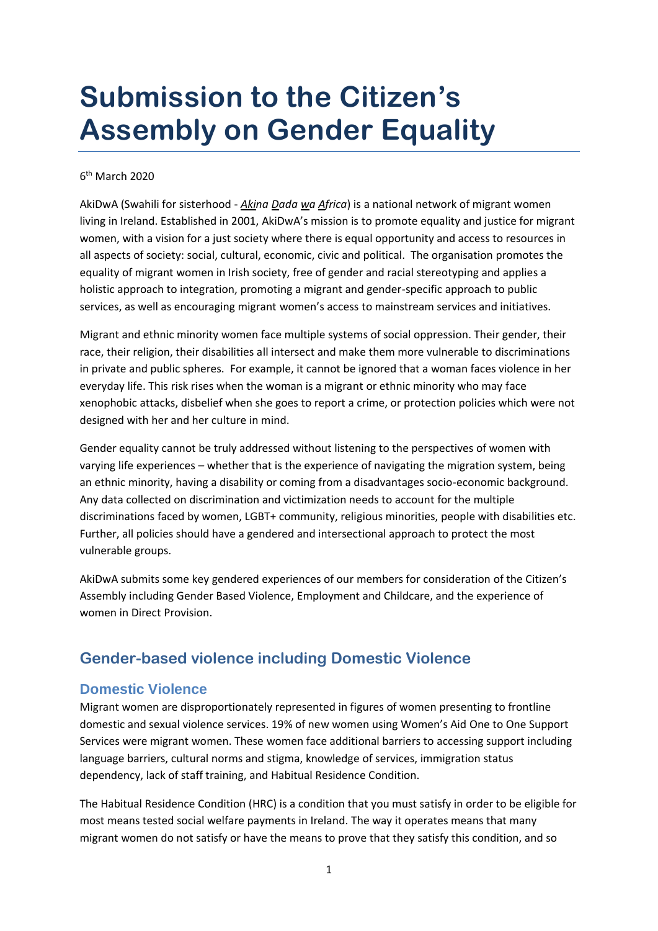# **Submission to the Citizen's Assembly on Gender Equality**

#### 6<sup>th</sup> March 2020

AkiDwA (Swahili for sisterhood - *Akina Dada wa Africa*) is a national network of migrant women living in Ireland. Established in 2001, AkiDwA's mission is to promote equality and justice for migrant women, with a vision for a just society where there is equal opportunity and access to resources in all aspects of society: social, cultural, economic, civic and political. The organisation promotes the equality of migrant women in Irish society, free of gender and racial stereotyping and applies a holistic approach to integration, promoting a migrant and gender-specific approach to public services, as well as encouraging migrant women's access to mainstream services and initiatives.

Migrant and ethnic minority women face multiple systems of social oppression. Their gender, their race, their religion, their disabilities all intersect and make them more vulnerable to discriminations in private and public spheres. For example, it cannot be ignored that a woman faces violence in her everyday life. This risk rises when the woman is a migrant or ethnic minority who may face xenophobic attacks, disbelief when she goes to report a crime, or protection policies which were not designed with her and her culture in mind.

Gender equality cannot be truly addressed without listening to the perspectives of women with varying life experiences – whether that is the experience of navigating the migration system, being an ethnic minority, having a disability or coming from a disadvantages socio-economic background. Any data collected on discrimination and victimization needs to account for the multiple discriminations faced by women, LGBT+ community, religious minorities, people with disabilities etc. Further, all policies should have a gendered and intersectional approach to protect the most vulnerable groups.

AkiDwA submits some key gendered experiences of our members for consideration of the Citizen's Assembly including Gender Based Violence, Employment and Childcare, and the experience of women in Direct Provision.

# **Gender-based violence including Domestic Violence**

#### **Domestic Violence**

Migrant women are disproportionately represented in figures of women presenting to frontline domestic and sexual violence services. 19% of new women using Women's Aid One to One Support Services were migrant women. These women face additional barriers to accessing support including language barriers, cultural norms and stigma, knowledge of services, immigration status dependency, lack of staff training, and Habitual Residence Condition.

The Habitual Residence Condition (HRC) is a condition that you must satisfy in order to be eligible for most means tested social welfare payments in Ireland. The way it operates means that many migrant women do not satisfy or have the means to prove that they satisfy this condition, and so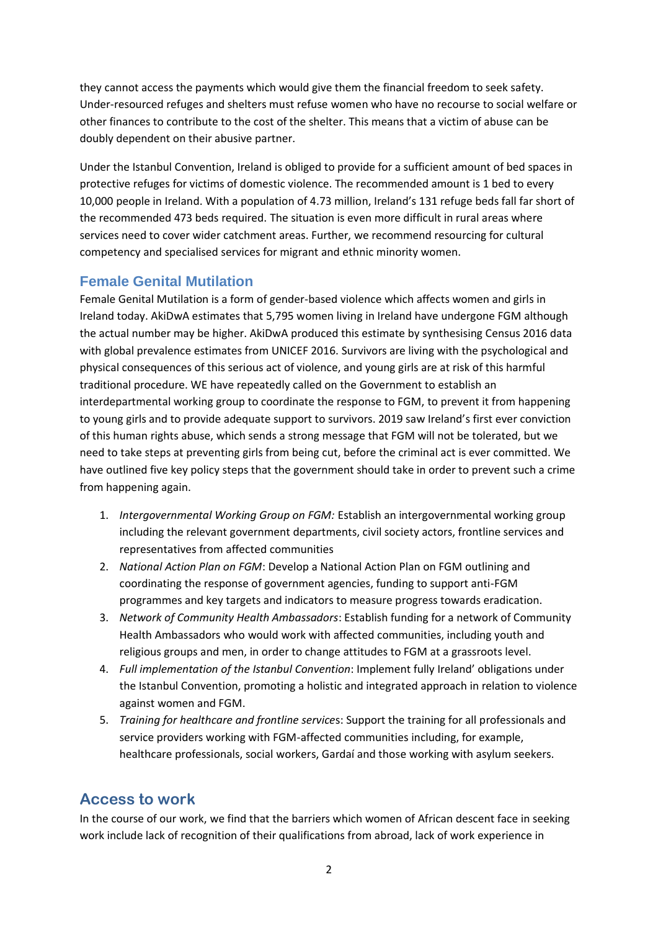they cannot access the payments which would give them the financial freedom to seek safety. Under-resourced refuges and shelters must refuse women who have no recourse to social welfare or other finances to contribute to the cost of the shelter. This means that a victim of abuse can be doubly dependent on their abusive partner.

Under the Istanbul Convention, Ireland is obliged to provide for a sufficient amount of bed spaces in protective refuges for victims of domestic violence. The recommended amount is 1 bed to every 10,000 people in Ireland. With a population of 4.73 million, Ireland's 131 refuge beds fall far short of the recommended 473 beds required. The situation is even more difficult in rural areas where services need to cover wider catchment areas. Further, we recommend resourcing for cultural competency and specialised services for migrant and ethnic minority women.

## **Female Genital Mutilation**

Female Genital Mutilation is a form of gender-based violence which affects women and girls in Ireland today. AkiDwA estimates that 5,795 women living in Ireland have undergone FGM although the actual number may be higher. AkiDwA produced this estimate by synthesising Census 2016 data with global prevalence estimates from UNICEF 2016. Survivors are living with the psychological and physical consequences of this serious act of violence, and young girls are at risk of this harmful traditional procedure. WE have repeatedly called on the Government to establish an interdepartmental working group to coordinate the response to FGM, to prevent it from happening to young girls and to provide adequate support to survivors. 2019 saw Ireland's first ever conviction of this human rights abuse, which sends a strong message that FGM will not be tolerated, but we need to take steps at preventing girls from being cut, before the criminal act is ever committed. We have outlined five key policy steps that the government should take in order to prevent such a crime from happening again.

- 1. *Intergovernmental Working Group on FGM:* Establish an intergovernmental working group including the relevant government departments, civil society actors, frontline services and representatives from affected communities
- 2. *National Action Plan on FGM*: Develop a National Action Plan on FGM outlining and coordinating the response of government agencies, funding to support anti-FGM programmes and key targets and indicators to measure progress towards eradication.
- 3. *Network of Community Health Ambassadors*: Establish funding for a network of Community Health Ambassadors who would work with affected communities, including youth and religious groups and men, in order to change attitudes to FGM at a grassroots level.
- 4. *Full implementation of the Istanbul Convention*: Implement fully Ireland' obligations under the Istanbul Convention, promoting a holistic and integrated approach in relation to violence against women and FGM.
- 5. *Training for healthcare and frontline service*s: Support the training for all professionals and service providers working with FGM-affected communities including, for example, healthcare professionals, social workers, Gardaí and those working with asylum seekers.

# **Access to work**

In the course of our work, we find that the barriers which women of African descent face in seeking work include lack of recognition of their qualifications from abroad, lack of work experience in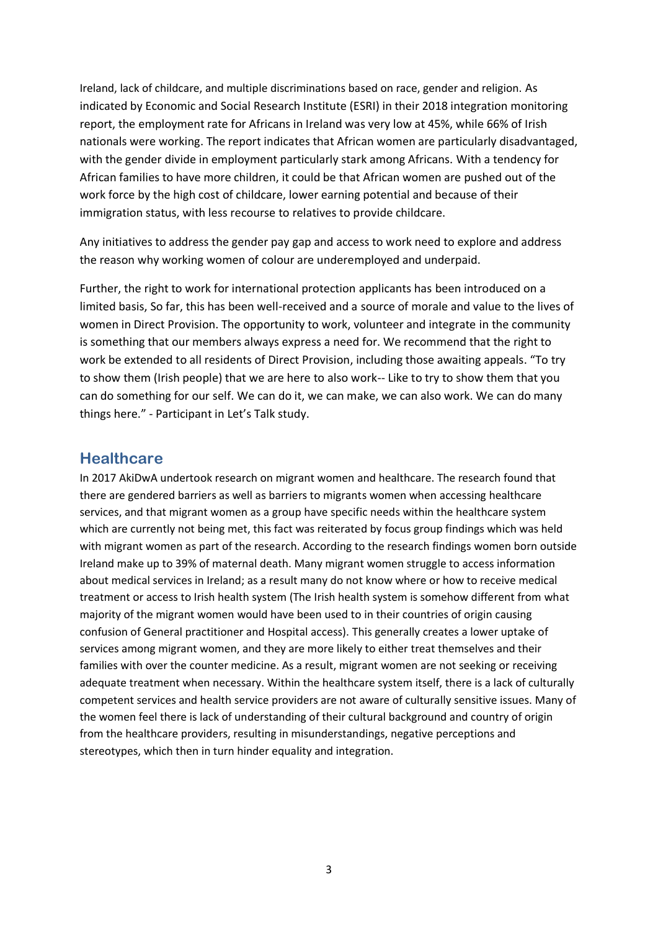Ireland, lack of childcare, and multiple discriminations based on race, gender and religion. As indicated by Economic and Social Research Institute (ESRI) in their 2018 integration monitoring report, the employment rate for Africans in Ireland was very low at 45%, while 66% of Irish nationals were working. The report indicates that African women are particularly disadvantaged, with the gender divide in employment particularly stark among Africans. With a tendency for African families to have more children, it could be that African women are pushed out of the work force by the high cost of childcare, lower earning potential and because of their immigration status, with less recourse to relatives to provide childcare.

Any initiatives to address the gender pay gap and access to work need to explore and address the reason why working women of colour are underemployed and underpaid.

Further, the right to work for international protection applicants has been introduced on a limited basis, So far, this has been well-received and a source of morale and value to the lives of women in Direct Provision. The opportunity to work, volunteer and integrate in the community is something that our members always express a need for. We recommend that the right to work be extended to all residents of Direct Provision, including those awaiting appeals. "To try to show them (Irish people) that we are here to also work-- Like to try to show them that you can do something for our self. We can do it, we can make, we can also work. We can do many things here." - Participant in Let's Talk study.

#### **Healthcare**

In 2017 AkiDwA undertook research on migrant women and healthcare. The research found that there are gendered barriers as well as barriers to migrants women when accessing healthcare services, and that migrant women as a group have specific needs within the healthcare system which are currently not being met, this fact was reiterated by focus group findings which was held with migrant women as part of the research. According to the research findings women born outside Ireland make up to 39% of maternal death. Many migrant women struggle to access information about medical services in Ireland; as a result many do not know where or how to receive medical treatment or access to Irish health system (The Irish health system is somehow different from what majority of the migrant women would have been used to in their countries of origin causing confusion of General practitioner and Hospital access). This generally creates a lower uptake of services among migrant women, and they are more likely to either treat themselves and their families with over the counter medicine. As a result, migrant women are not seeking or receiving adequate treatment when necessary. Within the healthcare system itself, there is a lack of culturally competent services and health service providers are not aware of culturally sensitive issues. Many of the women feel there is lack of understanding of their cultural background and country of origin from the healthcare providers, resulting in misunderstandings, negative perceptions and stereotypes, which then in turn hinder equality and integration.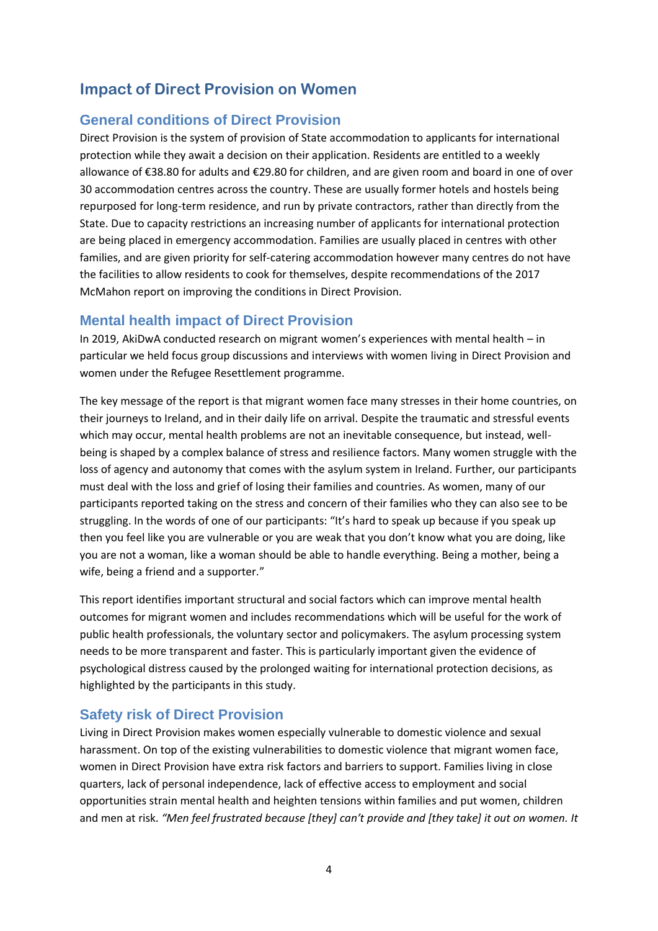# **Impact of Direct Provision on Women**

#### **General conditions of Direct Provision**

Direct Provision is the system of provision of State accommodation to applicants for international protection while they await a decision on their application. Residents are entitled to a weekly allowance of €38.80 for adults and €29.80 for children, and are given room and board in one of over 30 accommodation centres across the country. These are usually former hotels and hostels being repurposed for long-term residence, and run by private contractors, rather than directly from the State. Due to capacity restrictions an increasing number of applicants for international protection are being placed in emergency accommodation. Families are usually placed in centres with other families, and are given priority for self-catering accommodation however many centres do not have the facilities to allow residents to cook for themselves, despite recommendations of the 2017 McMahon report on improving the conditions in Direct Provision.

#### **Mental health impact of Direct Provision**

In 2019, AkiDwA conducted research on migrant women's experiences with mental health – in particular we held focus group discussions and interviews with women living in Direct Provision and women under the Refugee Resettlement programme.

The key message of the report is that migrant women face many stresses in their home countries, on their journeys to Ireland, and in their daily life on arrival. Despite the traumatic and stressful events which may occur, mental health problems are not an inevitable consequence, but instead, wellbeing is shaped by a complex balance of stress and resilience factors. Many women struggle with the loss of agency and autonomy that comes with the asylum system in Ireland. Further, our participants must deal with the loss and grief of losing their families and countries. As women, many of our participants reported taking on the stress and concern of their families who they can also see to be struggling. In the words of one of our participants: "It's hard to speak up because if you speak up then you feel like you are vulnerable or you are weak that you don't know what you are doing, like you are not a woman, like a woman should be able to handle everything. Being a mother, being a wife, being a friend and a supporter."

This report identifies important structural and social factors which can improve mental health outcomes for migrant women and includes recommendations which will be useful for the work of public health professionals, the voluntary sector and policymakers. The asylum processing system needs to be more transparent and faster. This is particularly important given the evidence of psychological distress caused by the prolonged waiting for international protection decisions, as highlighted by the participants in this study.

#### **Safety risk of Direct Provision**

Living in Direct Provision makes women especially vulnerable to domestic violence and sexual harassment. On top of the existing vulnerabilities to domestic violence that migrant women face, women in Direct Provision have extra risk factors and barriers to support. Families living in close quarters, lack of personal independence, lack of effective access to employment and social opportunities strain mental health and heighten tensions within families and put women, children and men at risk. *"Men feel frustrated because [they] can't provide and [they take] it out on women. It*